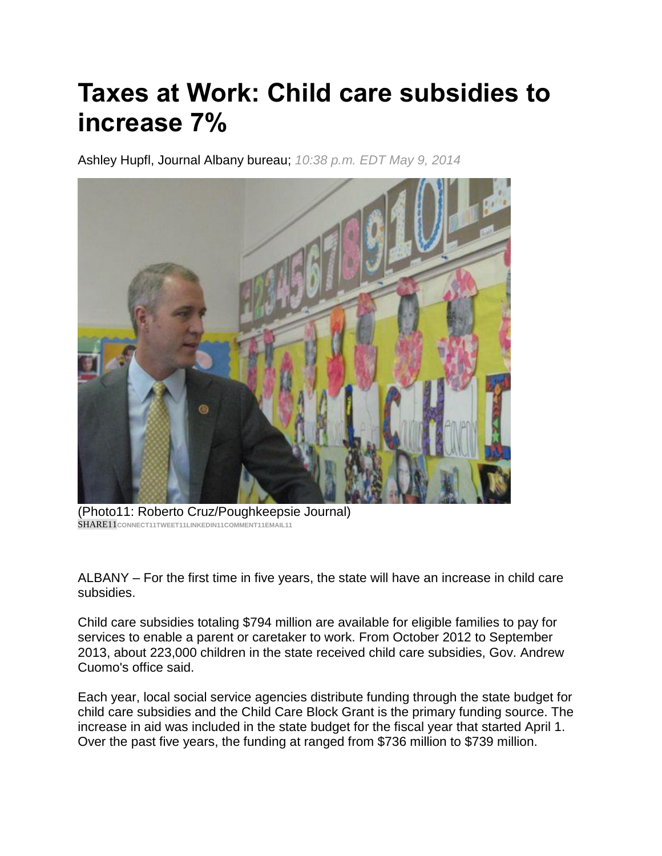## **Taxes at Work: Child care subsidies to increase 7%**

Ashley Hupfl, Journal Albany bureau; *10:38 p.m. EDT May 9, 2014*



(Photo11: Roberto Cruz/Poughkeepsie Journal) SHARE11**CONNECT1[1TWEET11LINKEDIN11C](https://twitter.com/intent/tweet?url=http://pojonews.co/1l0o4tO&text=Taxes%20at%20Work:%20Child%20care%20subsidies%20to%20increase%207%25&via=pokjournal)OMMENT11EMAIL11**

ALBANY – For the first time in five years, the state will have an increase in child care subsidies.

Child care subsidies totaling \$794 million are available for eligible families to pay for services to enable a parent or caretaker to work. From October 2012 to September 2013, about 223,000 children in the state received child care subsidies, Gov. Andrew Cuomo's office said.

Each year, local social service agencies distribute funding through the state budget for child care subsidies and the Child Care Block Grant is the primary funding source. The increase in aid was included in the state budget for the fiscal year that started April 1. Over the past five years, the funding at ranged from \$736 million to \$739 million.